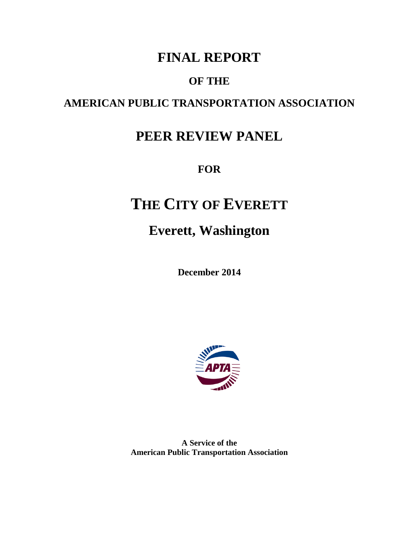## **FINAL REPORT**

### **OF THE**

## **AMERICAN PUBLIC TRANSPORTATION ASSOCIATION**

## **PEER REVIEW PANEL**

**FOR**

# **THE CITY OF EVERETT**

## **Everett, Washington**

**December 2014**



**A Service of the American Public Transportation Association**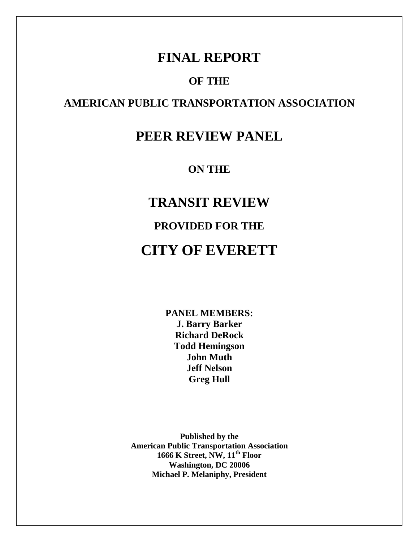### **FINAL REPORT**

#### **OF THE**

### **AMERICAN PUBLIC TRANSPORTATION ASSOCIATION**

## **PEER REVIEW PANEL**

**ON THE**

**TRANSIT REVIEW PROVIDED FOR THE CITY OF EVERETT**

> **PANEL MEMBERS: J. Barry Barker Richard DeRock Todd Hemingson John Muth Jeff Nelson Greg Hull**

**Published by the American Public Transportation Association 1666 K Street, NW, 11th Floor Washington, DC 20006 Michael P. Melaniphy, President**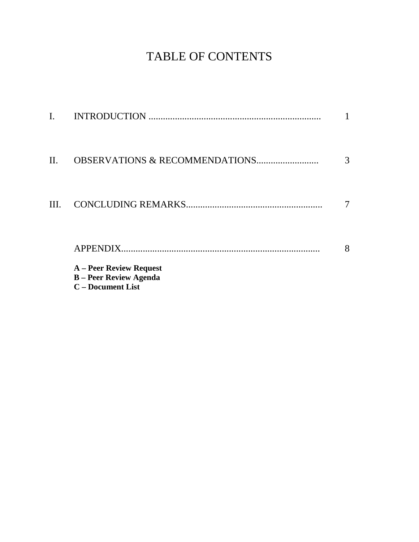## TABLE OF CONTENTS

|      | <b>A</b> – Peer Review Request<br><b>B</b> - Peer Review Agenda<br><b>C</b> – Document List |   |
|------|---------------------------------------------------------------------------------------------|---|
|      | APPENDIX.                                                                                   | 8 |
| III. |                                                                                             |   |
| П.   | <b>OBSERVATIONS &amp; RECOMMENDATIONS</b>                                                   | 3 |
|      |                                                                                             |   |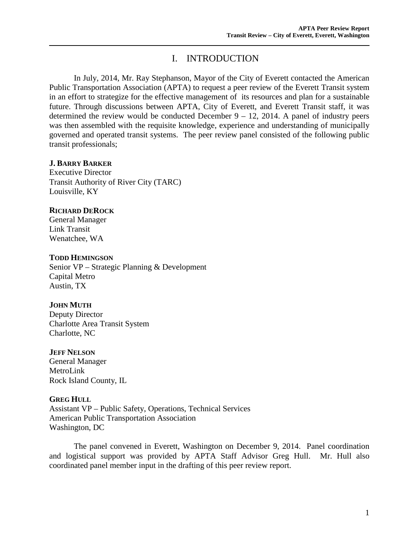#### I. INTRODUCTION

In July, 2014, Mr. Ray Stephanson, Mayor of the City of Everett contacted the American Public Transportation Association (APTA) to request a peer review of the Everett Transit system in an effort to strategize for the effective management of its resources and plan for a sustainable future. Through discussions between APTA, City of Everett, and Everett Transit staff, it was determined the review would be conducted December  $9 - 12$ , 2014. A panel of industry peers was then assembled with the requisite knowledge, experience and understanding of municipally governed and operated transit systems. The peer review panel consisted of the following public transit professionals;

#### **J. BARRY BARKER**

Executive Director Transit Authority of River City (TARC) Louisville, KY

#### **RICHARD DEROCK**

General Manager Link Transit Wenatchee, WA

#### **TODD HEMINGSON**

Senior VP – Strategic Planning & Development Capital Metro Austin, TX

#### **JOHN MUTH**

Deputy Director Charlotte Area Transit System Charlotte, NC

#### **JEFF NELSON**

General Manager MetroLink Rock Island County, IL

#### **GREG HULL**

Assistant VP – Public Safety, Operations, Technical Services American Public Transportation Association Washington, DC

The panel convened in Everett, Washington on December 9, 2014. Panel coordination and logistical support was provided by APTA Staff Advisor Greg Hull. Mr. Hull also coordinated panel member input in the drafting of this peer review report.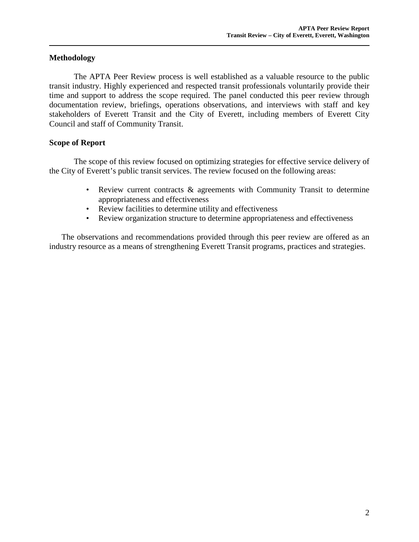#### **Methodology**

The APTA Peer Review process is well established as a valuable resource to the public transit industry. Highly experienced and respected transit professionals voluntarily provide their time and support to address the scope required. The panel conducted this peer review through documentation review, briefings, operations observations, and interviews with staff and key stakeholders of Everett Transit and the City of Everett, including members of Everett City Council and staff of Community Transit.

#### **Scope of Report**

The scope of this review focused on optimizing strategies for effective service delivery of the City of Everett's public transit services. The review focused on the following areas:

- Review current contracts & agreements with Community Transit to determine appropriateness and effectiveness
- Review facilities to determine utility and effectiveness
- Review organization structure to determine appropriateness and effectiveness

The observations and recommendations provided through this peer review are offered as an industry resource as a means of strengthening Everett Transit programs, practices and strategies.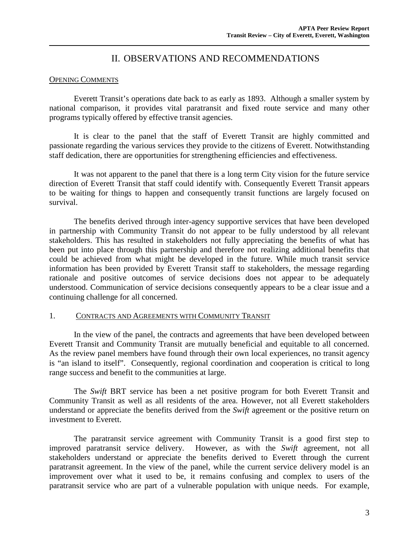#### II. OBSERVATIONS AND RECOMMENDATIONS

#### OPENING COMMENTS

Everett Transit's operations date back to as early as 1893. Although a smaller system by national comparison, it provides vital paratransit and fixed route service and many other programs typically offered by effective transit agencies.

It is clear to the panel that the staff of Everett Transit are highly committed and passionate regarding the various services they provide to the citizens of Everett. Notwithstanding staff dedication, there are opportunities for strengthening efficiencies and effectiveness.

It was not apparent to the panel that there is a long term City vision for the future service direction of Everett Transit that staff could identify with. Consequently Everett Transit appears to be waiting for things to happen and consequently transit functions are largely focused on survival.

The benefits derived through inter-agency supportive services that have been developed in partnership with Community Transit do not appear to be fully understood by all relevant stakeholders. This has resulted in stakeholders not fully appreciating the benefits of what has been put into place through this partnership and therefore not realizing additional benefits that could be achieved from what might be developed in the future. While much transit service information has been provided by Everett Transit staff to stakeholders, the message regarding rationale and positive outcomes of service decisions does not appear to be adequately understood. Communication of service decisions consequently appears to be a clear issue and a continuing challenge for all concerned.

#### 1. CONTRACTS AND AGREEMENTS WITH COMMUNITY TRANSIT

In the view of the panel, the contracts and agreements that have been developed between Everett Transit and Community Transit are mutually beneficial and equitable to all concerned. As the review panel members have found through their own local experiences, no transit agency is "an island to itself". Consequently, regional coordination and cooperation is critical to long range success and benefit to the communities at large.

The *Swift* BRT service has been a net positive program for both Everett Transit and Community Transit as well as all residents of the area. However, not all Everett stakeholders understand or appreciate the benefits derived from the *Swift* agreement or the positive return on investment to Everett.

The paratransit service agreement with Community Transit is a good first step to improved paratransit service delivery. However, as with the *Swift* agreement, not all stakeholders understand or appreciate the benefits derived to Everett through the current paratransit agreement. In the view of the panel, while the current service delivery model is an improvement over what it used to be, it remains confusing and complex to users of the paratransit service who are part of a vulnerable population with unique needs. For example,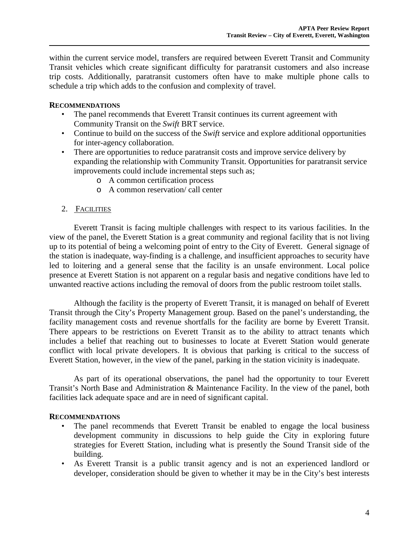within the current service model, transfers are required between Everett Transit and Community Transit vehicles which create significant difficulty for paratransit customers and also increase trip costs. Additionally, paratransit customers often have to make multiple phone calls to schedule a trip which adds to the confusion and complexity of travel.

#### **RECOMMENDATIONS**

- The panel recommends that Everett Transit continues its current agreement with Community Transit on the *Swift* BRT service.
- Continue to build on the success of the *Swift* service and explore additional opportunities for inter-agency collaboration.
- There are opportunities to reduce paratransit costs and improve service delivery by expanding the relationship with Community Transit. Opportunities for paratransit service improvements could include incremental steps such as;
	- o A common certification process
	- o A common reservation/ call center

#### 2. FACILITIES

Everett Transit is facing multiple challenges with respect to its various facilities. In the view of the panel, the Everett Station is a great community and regional facility that is not living up to its potential of being a welcoming point of entry to the City of Everett. General signage of the station is inadequate, way-finding is a challenge, and insufficient approaches to security have led to loitering and a general sense that the facility is an unsafe environment. Local police presence at Everett Station is not apparent on a regular basis and negative conditions have led to unwanted reactive actions including the removal of doors from the public restroom toilet stalls.

Although the facility is the property of Everett Transit, it is managed on behalf of Everett Transit through the City's Property Management group. Based on the panel's understanding, the facility management costs and revenue shortfalls for the facility are borne by Everett Transit. There appears to be restrictions on Everett Transit as to the ability to attract tenants which includes a belief that reaching out to businesses to locate at Everett Station would generate conflict with local private developers. It is obvious that parking is critical to the success of Everett Station, however, in the view of the panel, parking in the station vicinity is inadequate.

As part of its operational observations, the panel had the opportunity to tour Everett Transit's North Base and Administration & Maintenance Facility. In the view of the panel, both facilities lack adequate space and are in need of significant capital.

#### **RECOMMENDATIONS**

- The panel recommends that Everett Transit be enabled to engage the local business development community in discussions to help guide the City in exploring future strategies for Everett Station, including what is presently the Sound Transit side of the building.
- As Everett Transit is a public transit agency and is not an experienced landlord or developer, consideration should be given to whether it may be in the City's best interests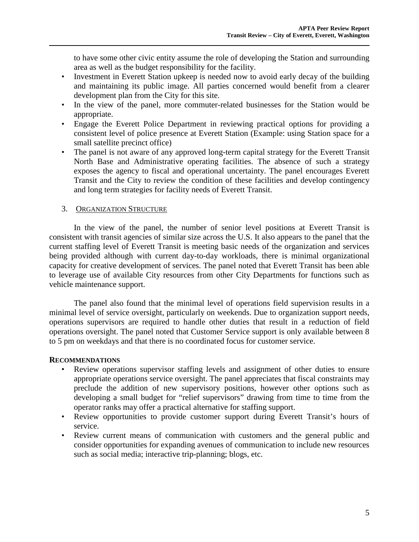to have some other civic entity assume the role of developing the Station and surrounding area as well as the budget responsibility for the facility.

- Investment in Everett Station upkeep is needed now to avoid early decay of the building and maintaining its public image. All parties concerned would benefit from a clearer development plan from the City for this site.
- In the view of the panel, more commuter-related businesses for the Station would be appropriate.
- Engage the Everett Police Department in reviewing practical options for providing a consistent level of police presence at Everett Station (Example: using Station space for a small satellite precinct office)
- The panel is not aware of any approved long-term capital strategy for the Everett Transit North Base and Administrative operating facilities. The absence of such a strategy exposes the agency to fiscal and operational uncertainty. The panel encourages Everett Transit and the City to review the condition of these facilities and develop contingency and long term strategies for facility needs of Everett Transit.

#### 3. ORGANIZATION STRUCTURE

In the view of the panel, the number of senior level positions at Everett Transit is consistent with transit agencies of similar size across the U.S. It also appears to the panel that the current staffing level of Everett Transit is meeting basic needs of the organization and services being provided although with current day-to-day workloads, there is minimal organizational capacity for creative development of services. The panel noted that Everett Transit has been able to leverage use of available City resources from other City Departments for functions such as vehicle maintenance support.

The panel also found that the minimal level of operations field supervision results in a minimal level of service oversight, particularly on weekends. Due to organization support needs, operations supervisors are required to handle other duties that result in a reduction of field operations oversight. The panel noted that Customer Service support is only available between 8 to 5 pm on weekdays and that there is no coordinated focus for customer service.

#### **RECOMMENDATIONS**

- Review operations supervisor staffing levels and assignment of other duties to ensure appropriate operations service oversight. The panel appreciates that fiscal constraints may preclude the addition of new supervisory positions, however other options such as developing a small budget for "relief supervisors" drawing from time to time from the operator ranks may offer a practical alternative for staffing support.
- Review opportunities to provide customer support during Everett Transit's hours of service.
- Review current means of communication with customers and the general public and consider opportunities for expanding avenues of communication to include new resources such as social media; interactive trip-planning; blogs, etc.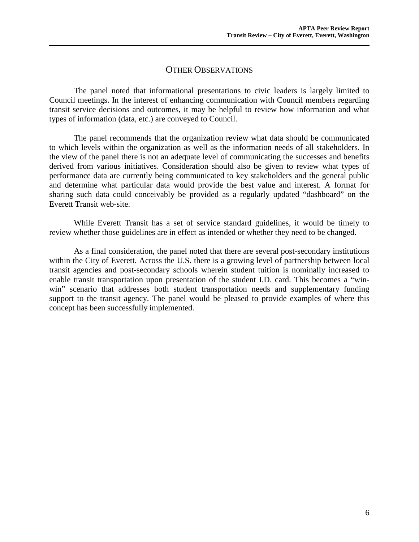#### OTHER OBSERVATIONS

The panel noted that informational presentations to civic leaders is largely limited to Council meetings. In the interest of enhancing communication with Council members regarding transit service decisions and outcomes, it may be helpful to review how information and what types of information (data, etc.) are conveyed to Council.

The panel recommends that the organization review what data should be communicated to which levels within the organization as well as the information needs of all stakeholders. In the view of the panel there is not an adequate level of communicating the successes and benefits derived from various initiatives. Consideration should also be given to review what types of performance data are currently being communicated to key stakeholders and the general public and determine what particular data would provide the best value and interest. A format for sharing such data could conceivably be provided as a regularly updated "dashboard" on the Everett Transit web-site.

While Everett Transit has a set of service standard guidelines, it would be timely to review whether those guidelines are in effect as intended or whether they need to be changed.

As a final consideration, the panel noted that there are several post-secondary institutions within the City of Everett. Across the U.S. there is a growing level of partnership between local transit agencies and post-secondary schools wherein student tuition is nominally increased to enable transit transportation upon presentation of the student I.D. card. This becomes a "winwin" scenario that addresses both student transportation needs and supplementary funding support to the transit agency. The panel would be pleased to provide examples of where this concept has been successfully implemented.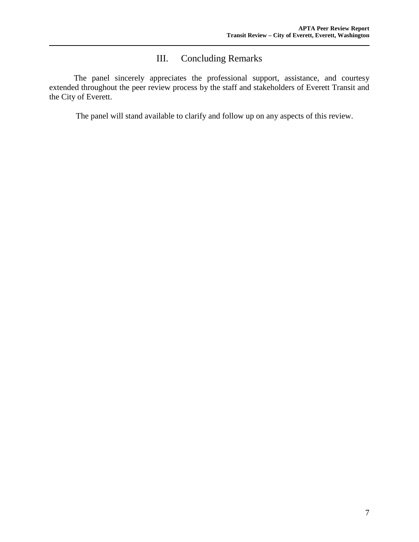### III. Concluding Remarks

The panel sincerely appreciates the professional support, assistance, and courtesy extended throughout the peer review process by the staff and stakeholders of Everett Transit and the City of Everett.

The panel will stand available to clarify and follow up on any aspects of this review.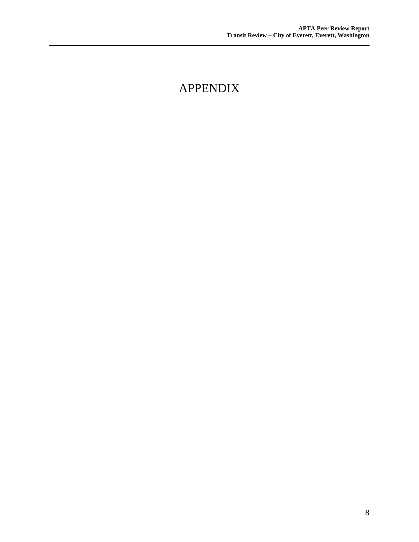## APPENDIX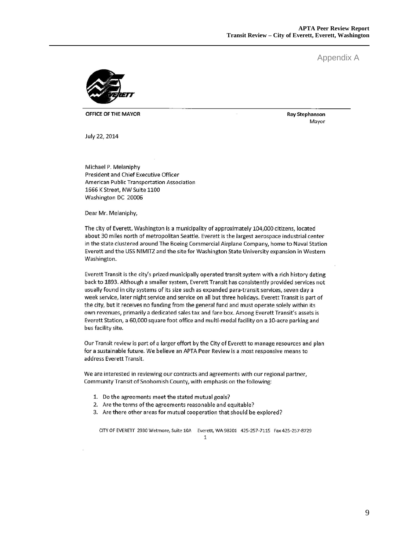**Ray Stephanson** Mayor

Appendix A



OFFICE OF THE MAYOR

July 22, 2014

Michael P. Melaniphy **President and Chief Executive Officer** American Public Transportation Association 1666 K Street, NW Suite 1100 Washington DC 20006

Dear Mr. Melaniphy,

The city of Everett, Washington is a municipality of approximately 104,000 citizens, located about 30 miles north of metropolitan Seattle. Everett is the largest aerospace industrial center in the state clustered around The Boeing Commercial Airplane Company, home to Naval Station Everett and the USS NIMITZ and the site for Washington State University expansion in Western Washington.

Everett Transit is the city's prized municipally operated transit system with a rich history dating back to 1893. Although a smaller system, Everett Transit has consistently provided services not usually found in city systems of its size such as expanded para-transit services, seven day a week service, later night service and service on all but three holidays. Everett Transit is part of the city, but it receives no funding from the general fund and must operate solely within its own revenues, primarily a dedicated sales tax and fare box. Among Everett Transit's assets is Everett Station, a 60,000 square foot office and multi-modal facility on a 10-acre parking and bus facility site.

Our Transit review is part of a larger effort by the City of Everett to manage resources and plan for a sustainable future. We believe an APTA Peer Review is a most responsive means to address Everett Transit.

We are interested in reviewing our contracts and agreements with our regional partner, Community Transit of Snohomish County, with emphasis on the following:

- 1. Do the agreements meet the stated mutual goals?
- 2. Are the terms of the agreements reasonable and equitable?
- 3. Are there other areas for mutual cooperation that should be explored?

CITY OF EVERETT 2930 Wetmore, Suite 10A Everett, WA 98201 425-257-7115 Fax 425-257-8729  $\mathbf{1}$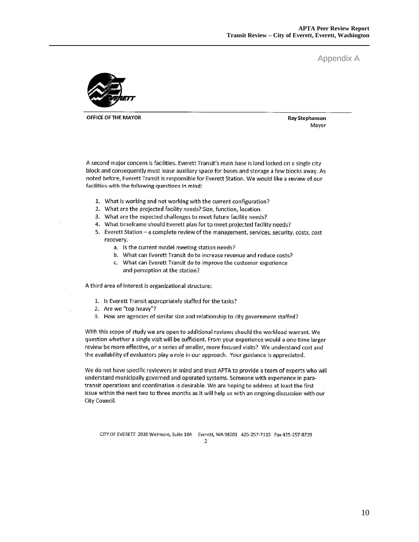Appendix A



OFFICE OF THE MAYOR

**Ray Stephanson** Mayor

A second major concern is facilities. Everett Transit's main base is land locked on a single city block and consequently must lease auxiliary space for buses and storage a few blocks away. As noted before, Everett Transit is responsible for Everett Station. We would like a review of our facilities with the following questions in mind:

- 1. What is working and not working with the current configuration?
- 2. What are the projected facility needs? Size, function, location.
- 3. What are the expected challenges to meet future facility needs?
- 4. What timeframe should Everett plan for to meet projected facility needs?
- 5. Everett Station a complete review of the management, services, security, costs, cost recovery.
	- a. Is the current model meeting station needs?
	- b. What can Everett Transit do to increase revenue and reduce costs?
	- c. What can Everett Transit do to improve the customer experience and perception at the station?

A third area of interest is organizational structure:

- 1. Is Everett Transit appropriately staffed for the tasks?
- 2. Are we "top heavy"?
- 3. How are agencies of similar size and relationship to city government staffed?

With this scope of study we are open to additional reviews should the workload warrant. We question whether a single visit will be sufficient. From your experience would a one-time larger review be more effective, or a series of smaller, more focused visits? We understand cost and the availability of evaluators play a role in our approach. Your guidance is appreciated.

We do not have specific reviewers in mind and trust APTA to provide a team of experts who will understand municipally governed and operated systems. Someone with experience in paratransit operations and coordination is desirable. We are hoping to address at least the first issue within the next two to three months as it will help us with an ongoing discussion with our City Council.

CITY OF EVERETT 2930 Wetmore, Suite 10A Everett, WA 98201 425-257-7115 Fax 425-257-8729 2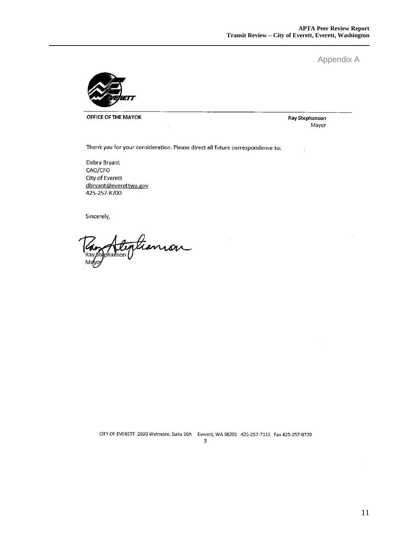Appendix A



OFFICE OF THE MAYOR

**Ray Stephanson** Mayor

Thank you for your consideration. Please direct all future correspondence to:

Debra Bryant CAO/CFO City of Everett dbryant@everettwa.gov 425-257-8700

Sincerely,

Stephanson

CITY OF EVERETT 2930 Wetmore, Suite 10A Everett, WA 98201 425-257-7115 Fax 425-257-8729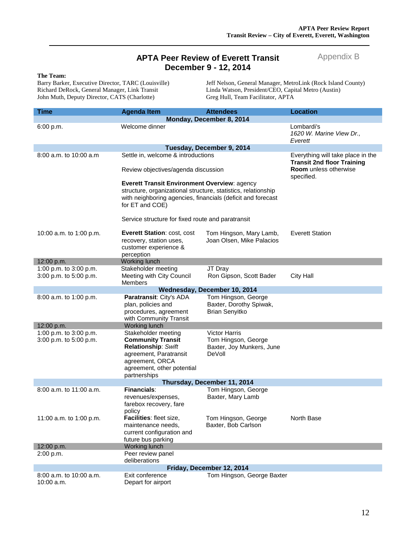#### **APTA Peer Review of Everett Transit December 9 - 12, 2014**

#### Appendix B

**The Team:** John Muth, Deputy Director, CATS (Charlotte)

Barry Barker, Executive Director, TARC (Louisville) Jeff Nelson, General Manager, MetroLink (Rock Island County)<br>Richard DeRock, General Manager, Link Transit Linda Watson, President/CEO, Capital Metro (Austin) Linda Watson, President/CEO, Capital Metro (Austin)<br>Greg Hull, Team Facilitator, APTA

| <b>Time</b>                 | <b>Agenda Item</b>                                                                                                                              | <b>Attendees</b>                                                        | <b>Location</b>                                                                                                      |  |  |
|-----------------------------|-------------------------------------------------------------------------------------------------------------------------------------------------|-------------------------------------------------------------------------|----------------------------------------------------------------------------------------------------------------------|--|--|
| Monday, December 8, 2014    |                                                                                                                                                 |                                                                         |                                                                                                                      |  |  |
| 6:00 p.m.                   | Welcome dinner                                                                                                                                  |                                                                         | Lombardi's<br>1620 W. Marine View Dr.,<br>Everett                                                                    |  |  |
| Tuesday, December 9, 2014   |                                                                                                                                                 |                                                                         |                                                                                                                      |  |  |
| 8:00 a.m. to 10:00 a.m.     | Settle in, welcome & introductions<br>Review objectives/agenda discussion<br><b>Everett Transit Environment Overview: agency</b>                |                                                                         | Everything will take place in the<br><b>Transit 2nd floor Training</b><br><b>Room</b> unless otherwise<br>specified. |  |  |
|                             | structure, organizational structure, statistics, relationship<br>with neighboring agencies, financials (deficit and forecast<br>for ET and COE) |                                                                         |                                                                                                                      |  |  |
|                             | Service structure for fixed route and paratransit                                                                                               |                                                                         |                                                                                                                      |  |  |
| 10:00 a.m. to 1:00 p.m.     | <b>Everett Station: cost, cost</b><br>recovery, station uses,<br>customer experience &<br>perception                                            | Tom Hingson, Mary Lamb,<br>Joan Olsen, Mike Palacios                    | <b>Everett Station</b>                                                                                               |  |  |
| 12:00 p.m.                  | <b>Working lunch</b>                                                                                                                            |                                                                         |                                                                                                                      |  |  |
| 1:00 p.m. to 3:00 p.m.      | Stakeholder meeting                                                                                                                             | JT Dray                                                                 |                                                                                                                      |  |  |
| 3:00 p.m. to 5:00 p.m.      | Meeting with City Council<br><b>Members</b>                                                                                                     | Ron Gipson, Scott Bader                                                 | <b>City Hall</b>                                                                                                     |  |  |
|                             |                                                                                                                                                 | Wednesday, December 10, 2014                                            |                                                                                                                      |  |  |
| 8:00 a.m. to 1:00 p.m.      | Paratransit: City's ADA<br>plan, policies and<br>procedures, agreement<br>with Community Transit                                                | Tom Hingson, George<br>Baxter, Dorothy Spiwak,<br><b>Brian Senyitko</b> |                                                                                                                      |  |  |
| 12:00 p.m.                  | <b>Working lunch</b>                                                                                                                            |                                                                         |                                                                                                                      |  |  |
| 1:00 p.m. to 3:00 p.m.      | Stakeholder meeting                                                                                                                             | Victor Harris                                                           |                                                                                                                      |  |  |
| 3:00 p.m. to 5:00 p.m.      | <b>Community Transit</b>                                                                                                                        | Tom Hingson, George                                                     |                                                                                                                      |  |  |
|                             | Relationship: Swift                                                                                                                             | Baxter, Joy Munkers, June                                               |                                                                                                                      |  |  |
|                             | agreement, Paratransit                                                                                                                          | DeVoll                                                                  |                                                                                                                      |  |  |
|                             | agreement, ORCA                                                                                                                                 |                                                                         |                                                                                                                      |  |  |
|                             | agreement, other potential                                                                                                                      |                                                                         |                                                                                                                      |  |  |
| partnerships                |                                                                                                                                                 |                                                                         |                                                                                                                      |  |  |
| Thursday, December 11, 2014 |                                                                                                                                                 |                                                                         |                                                                                                                      |  |  |
| 8:00 a.m. to 11:00 a.m.     | <b>Financials:</b>                                                                                                                              | Tom Hingson, George                                                     |                                                                                                                      |  |  |
|                             | revenues/expenses,                                                                                                                              | Baxter, Mary Lamb                                                       |                                                                                                                      |  |  |
|                             | farebox recovery, fare<br>policy                                                                                                                |                                                                         |                                                                                                                      |  |  |
| 11:00 a.m. to 1:00 p.m.     | Facilities: fleet size,                                                                                                                         | Tom Hingson, George                                                     | North Base                                                                                                           |  |  |
|                             | maintenance needs,                                                                                                                              | Baxter, Bob Carlson                                                     |                                                                                                                      |  |  |
|                             | current configuration and                                                                                                                       |                                                                         |                                                                                                                      |  |  |
|                             | future bus parking                                                                                                                              |                                                                         |                                                                                                                      |  |  |
| 12:00 p.m.                  | <b>Working lunch</b>                                                                                                                            |                                                                         |                                                                                                                      |  |  |
| 2:00 p.m.                   | Peer review panel                                                                                                                               |                                                                         |                                                                                                                      |  |  |
|                             | deliberations                                                                                                                                   |                                                                         |                                                                                                                      |  |  |
| Friday, December 12, 2014   |                                                                                                                                                 |                                                                         |                                                                                                                      |  |  |
| 8:00 a.m. to 10:00 a.m.     | Exit conference                                                                                                                                 | Tom Hingson, George Baxter                                              |                                                                                                                      |  |  |
| 10:00 a.m.                  | Depart for airport                                                                                                                              |                                                                         |                                                                                                                      |  |  |